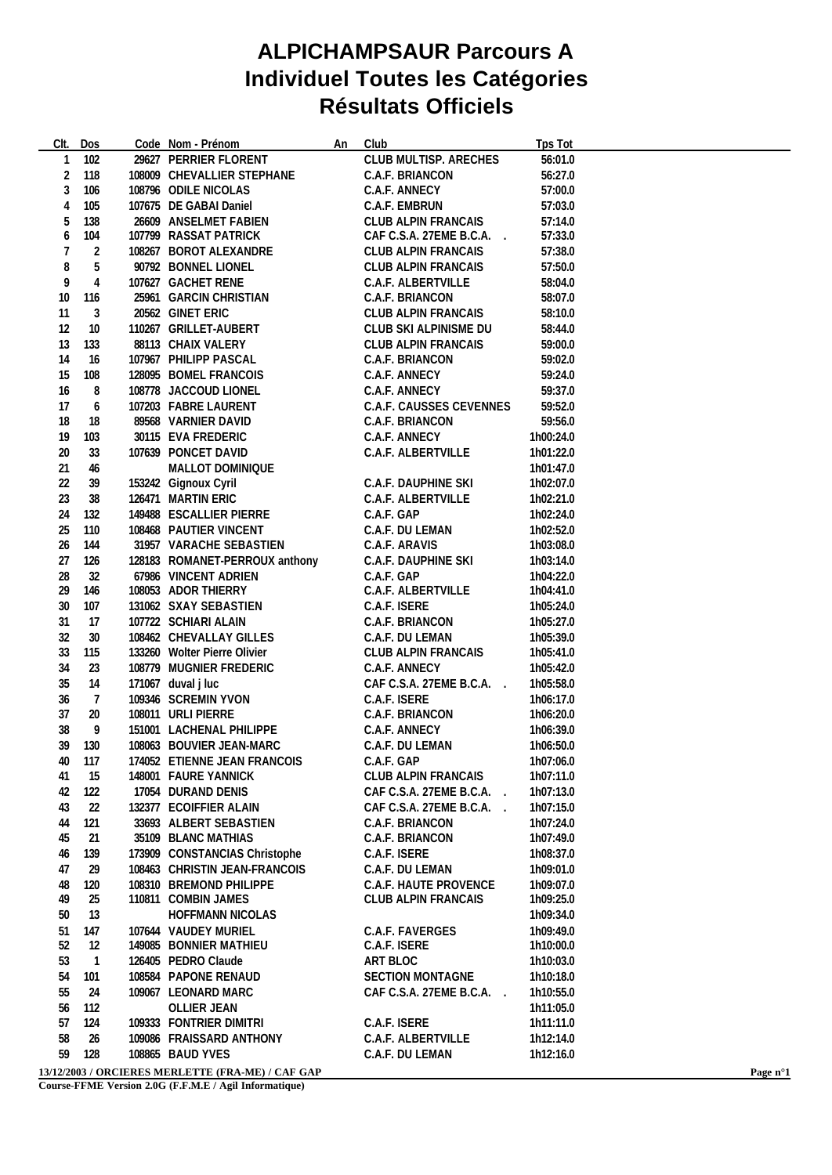## **ALPICHAMPSAUR Parcours A Individuel Toutes les Catégories Résultats Officiels**

| CIt.             | Dos                     | Code Nom - Prénom              | An | Club                           | <b>Tps Tot</b> |  |
|------------------|-------------------------|--------------------------------|----|--------------------------------|----------------|--|
| 1                | 102                     | 29627 PERRIER FLORENT          |    | <b>CLUB MULTISP. ARECHES</b>   | 56:01.0        |  |
| $\boldsymbol{2}$ | 118                     | 108009 CHEVALLIER STEPHANE     |    | <b>C.A.F. BRIANCON</b>         | 56:27.0        |  |
| 3                | 106                     | 108796 ODILE NICOLAS           |    | <b>C.A.F. ANNECY</b>           | 57:00.0        |  |
| 4                | 105                     | 107675 DE GABAI Daniel         |    | <b>C.A.F. EMBRUN</b>           | 57:03.0        |  |
| 5                | 138                     | 26609 ANSELMET FABIEN          |    | <b>CLUB ALPIN FRANCAIS</b>     | 57:14.0        |  |
| 6                | 104                     | 107799 RASSAT PATRICK          |    | CAF C.S.A. 27EME B.C.A.        | 57:33.0        |  |
| 7                | 2                       | 108267 BOROT ALEXANDRE         |    | <b>CLUB ALPIN FRANCAIS</b>     | 57:38.0        |  |
| 8                | 5                       | 90792 BONNEL LIONEL            |    | <b>CLUB ALPIN FRANCAIS</b>     | 57:50.0        |  |
| 9                | $\overline{\mathbf{4}}$ | 107627 GACHET RENE             |    | <b>C.A.F. ALBERTVILLE</b>      | 58:04.0        |  |
| 10               | 116                     | 25961 GARCIN CHRISTIAN         |    | <b>C.A.F. BRIANCON</b>         | 58:07.0        |  |
| 11               | 3                       | 20562 GINET ERIC               |    | <b>CLUB ALPIN FRANCAIS</b>     | 58:10.0        |  |
| 12               | 10                      | 110267 GRILLET-AUBERT          |    | <b>CLUB SKI ALPINISME DU</b>   | 58:44.0        |  |
| 13               | 133                     | 88113 CHAIX VALERY             |    | <b>CLUB ALPIN FRANCAIS</b>     | 59:00.0        |  |
| 14               | 16                      | 107967 PHILIPP PASCAL          |    | <b>C.A.F. BRIANCON</b>         | 59:02.0        |  |
| 15               | 108                     | 128095 BOMEL FRANCOIS          |    | <b>C.A.F. ANNECY</b>           | 59:24.0        |  |
| 16               | 8                       | 108778 JACCOUD LIONEL          |    | <b>C.A.F. ANNECY</b>           | 59:37.0        |  |
| 17               | 6                       | 107203 FABRE LAURENT           |    | <b>C.A.F. CAUSSES CEVENNES</b> | 59:52.0        |  |
| 18               | 18                      | 89568 VARNIER DAVID            |    | <b>C.A.F. BRIANCON</b>         | 59:56.0        |  |
| 19               | 103                     | 30115 EVA FREDERIC             |    | <b>C.A.F. ANNECY</b>           | 1h00:24.0      |  |
| 20               | 33                      | 107639 PONCET DAVID            |    | <b>C.A.F. ALBERTVILLE</b>      | 1h01:22.0      |  |
| 21               | 46                      | <b>MALLOT DOMINIQUE</b>        |    |                                | 1h01:47.0      |  |
| 22               | 39                      | 153242 Gignoux Cyril           |    | <b>C.A.F. DAUPHINE SKI</b>     | 1h02:07.0      |  |
| 23               | 38                      | 126471 MARTIN ERIC             |    | <b>C.A.F. ALBERTVILLE</b>      | 1h02:21.0      |  |
| 24               | 132                     | 149488 ESCALLIER PIERRE        |    | C.A.F. GAP                     | 1h02:24.0      |  |
| 25               | 110                     | 108468 PAUTIER VINCENT         |    | <b>C.A.F. DU LEMAN</b>         | 1h02:52.0      |  |
| 26               | 144                     | 31957 VARACHE SEBASTIEN        |    | C.A.F. ARAVIS                  | 1h03:08.0      |  |
| 27               | 126                     | 128183 ROMANET-PERROUX anthony |    | <b>C.A.F. DAUPHINE SKI</b>     | 1h03:14.0      |  |
| 28               | 32                      | 67986 VINCENT ADRIEN           |    | C.A.F. GAP                     | 1h04:22.0      |  |
| 29               | 146                     | 108053 ADOR THIERRY            |    | <b>C.A.F. ALBERTVILLE</b>      | 1h04:41.0      |  |
| 30               | 107                     | 131062 SXAY SEBASTIEN          |    | C.A.F. ISERE                   | 1h05:24.0      |  |
| 31               | 17                      | 107722 SCHIARI ALAIN           |    | <b>C.A.F. BRIANCON</b>         | 1h05:27.0      |  |
| 32               | 30                      | 108462 CHEVALLAY GILLES        |    | <b>C.A.F. DU LEMAN</b>         | 1h05:39.0      |  |
| 33               | 115                     | 133260 Wolter Pierre Olivier   |    | <b>CLUB ALPIN FRANCAIS</b>     | 1h05:41.0      |  |
| 34               | 23                      | 108779 MUGNIER FREDERIC        |    | <b>C.A.F. ANNECY</b>           | 1h05:42.0      |  |
| 35               | 14                      | 171067 duval j luc             |    | CAF C.S.A. 27EME B.C.A.        | 1h05:58.0      |  |
| 36               | $\overline{7}$          | 109346 SCREMIN YVON            |    | <b>C.A.F. ISERE</b>            | 1h06:17.0      |  |
| 37               | 20                      | 108011 URLI PIERRE             |    | <b>C.A.F. BRIANCON</b>         | 1h06:20.0      |  |
| 38               | 9                       | 151001 LACHENAL PHILIPPE       |    | <b>C.A.F. ANNECY</b>           | 1h06:39.0      |  |
| 39               | 130                     | 108063 BOUVIER JEAN-MARC       |    | <b>C.A.F. DU LEMAN</b>         | 1h06:50.0      |  |
| 40               | 117                     | 174052 ETIENNE JEAN FRANCOIS   |    | C.A.F. GAP                     | 1h07:06.0      |  |
| 41               | 15                      | 148001 FAURE YANNICK           |    | <b>CLUB ALPIN FRANCAIS</b>     | 1h07:11.0      |  |
| 42               | 122                     | 17054 DURAND DENIS             |    | CAF C.S.A. 27EME B.C.A.        | 1h07:13.0      |  |
| 43               | 22                      | 132377 ECOIFFIER ALAIN         |    | CAF C.S.A. 27EME B.C.A.        | 1h07:15.0      |  |
| 44               | 121                     | 33693 ALBERT SEBASTIEN         |    | <b>C.A.F. BRIANCON</b>         | 1h07:24.0      |  |
| 45               | 21                      | 35109 BLANC MATHIAS            |    | <b>C.A.F. BRIANCON</b>         | 1h07:49.0      |  |
| 46               | 139                     | 173909 CONSTANCIAS Christophe  |    | C.A.F. ISERE                   | 1h08:37.0      |  |
| 47               | 29                      | 108463 CHRISTIN JEAN-FRANCOIS  |    | C.A.F. DU LEMAN                | 1h09:01.0      |  |
| 48               | 120                     | 108310 BREMOND PHILIPPE        |    | <b>C.A.F. HAUTE PROVENCE</b>   | 1h09:07.0      |  |
| 49               | 25                      | 110811 COMBIN JAMES            |    | <b>CLUB ALPIN FRANCAIS</b>     | 1h09:25.0      |  |
| 50               | 13                      | <b>HOFFMANN NICOLAS</b>        |    |                                | 1h09:34.0      |  |
| 51               | 147                     | 107644 VAUDEY MURIEL           |    | <b>C.A.F. FAVERGES</b>         | 1h09:49.0      |  |
| 52               | 12                      | 149085 BONNIER MATHIEU         |    | C.A.F. ISERE                   | 1h10:00.0      |  |
| 53               | $\mathbf{1}$            | 126405 PEDRO Claude            |    | <b>ART BLOC</b>                | 1h10:03.0      |  |
| 54               | 101                     | 108584 PAPONE RENAUD           |    | <b>SECTION MONTAGNE</b>        | 1h10:18.0      |  |
| 55               | 24                      | 109067 LEONARD MARC            |    | CAF C.S.A. 27EME B.C.A.        | 1h10:55.0      |  |
| 56               | 112                     | <b>OLLIER JEAN</b>             |    |                                | 1h11:05.0      |  |
| 57               | 124                     | 109333 FONTRIER DIMITRI        |    | C.A.F. ISERE                   | 1h11:11.0      |  |
| 58               | 26                      | 109086 FRAISSARD ANTHONY       |    | <b>C.A.F. ALBERTVILLE</b>      | 1h12:14.0      |  |
| 59               | 128                     | 108865 BAUD YVES               |    | C.A.F. DU LEMAN                | 1h12:16.0      |  |

**13/12/2003 / ORCIERES MERLETTE (FRA-ME) / CAF GAP Page n°1**

**Course-FFME Version 2.0G (F.F.M.E / Agil Informatique)**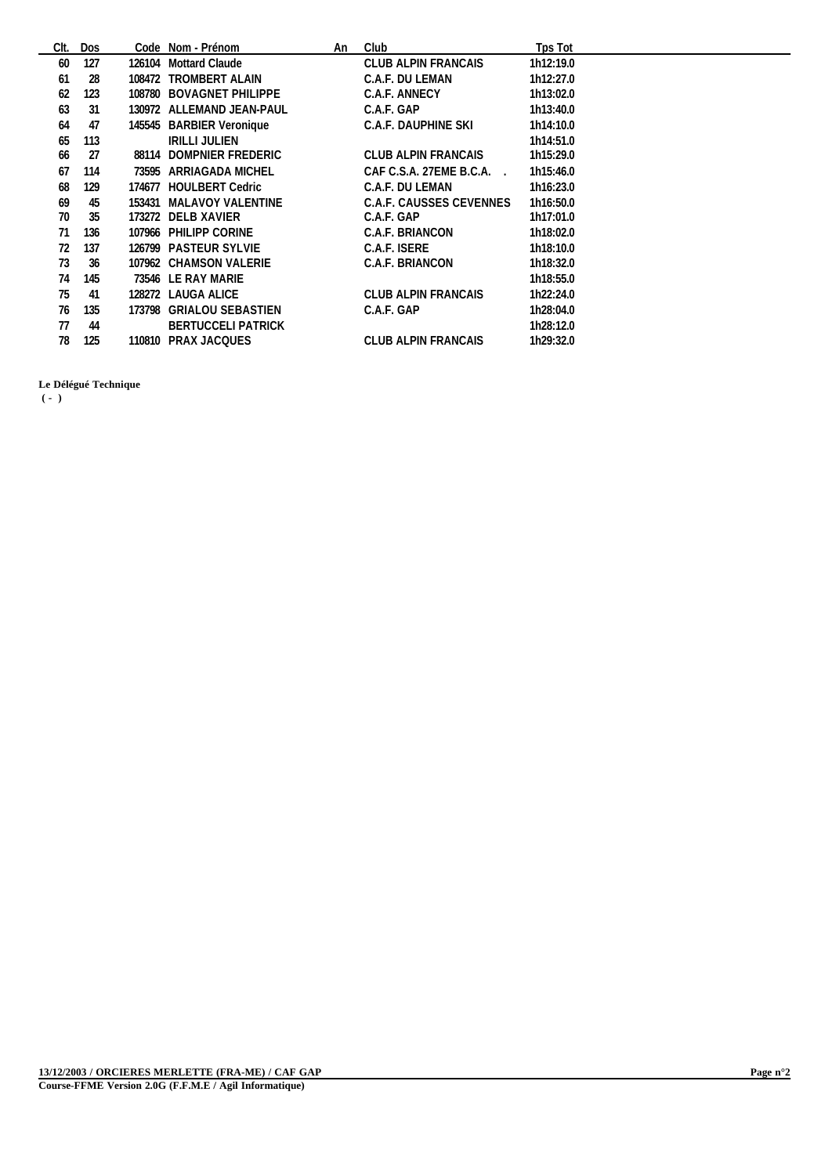| CIt. | <b>Dos</b> | Code Nom - Prénom         | An | Club                              | Tps Tot   |
|------|------------|---------------------------|----|-----------------------------------|-----------|
| 60   | 127        | 126104 Mottard Claude     |    | <b>CLUB ALPIN FRANCAIS</b>        | 1h12:19.0 |
| 61   | 28         | 108472 TROMBERT ALAIN     |    | <b>C.A.F. DU LEMAN</b>            | 1h12:27.0 |
| 62   | 123        | 108780 BOVAGNET PHILIPPE  |    | <b>C.A.F. ANNECY</b>              | 1h13:02.0 |
| 63   | 31         | 130972 ALLEMAND JEAN-PAUL |    | C.A.F. GAP                        | 1h13:40.0 |
| 64   | 47         | 145545 BARBIER Veronique  |    | C.A.F. DAUPHINE SKI               | 1h14:10.0 |
| 65   | 113        | <b>IRILLI JULIEN</b>      |    |                                   | 1h14:51.0 |
| 66   | 27         | 88114 DOMPNIER FREDERIC   |    | <b>CLUB ALPIN FRANCAIS</b>        | 1h15:29.0 |
| 67   | 114        | 73595 ARRIAGADA MICHEL    |    | CAF C.S.A. 27EME B.C.A.<br>$\sim$ | 1h15:46.0 |
| 68   | 129        | 174677 HOULBERT Cedric    |    | <b>C.A.F. DU LEMAN</b>            | 1h16:23.0 |
| 69   | 45         | 153431 MALAVOY VALENTINE  |    | <b>C.A.F. CAUSSES CEVENNES</b>    | 1h16:50.0 |
| 70   | 35         | 173272 DELB XAVIER        |    | C.A.F. GAP                        | 1h17:01.0 |
| 71   | 136        | 107966 PHILIPP CORINE     |    | <b>C.A.F. BRIANCON</b>            | 1h18:02.0 |
| 72   | 137        | 126799 PASTEUR SYLVIE     |    | C.A.F. ISERE                      | 1h18:10.0 |
| 73   | 36         | 107962 CHAMSON VALERIE    |    | <b>C.A.F. BRIANCON</b>            | 1h18:32.0 |
| 74   | 145        | 73546 LE RAY MARIE        |    |                                   | 1h18:55.0 |
| 75   | 41         | 128272 LAUGA ALICE        |    | <b>CLUB ALPIN FRANCAIS</b>        | 1h22:24.0 |
| 76   | 135        | 173798 GRIALOU SEBASTIEN  |    | C.A.F. GAP                        | 1h28:04.0 |
| 77   | 44         | <b>BERTUCCELI PATRICK</b> |    |                                   | 1h28:12.0 |
| 78   | 125        | 110810 PRAX JACQUES       |    | <b>CLUB ALPIN FRANCAIS</b>        | 1h29:32.0 |

**Le Délégué Technique**

 **( - )**